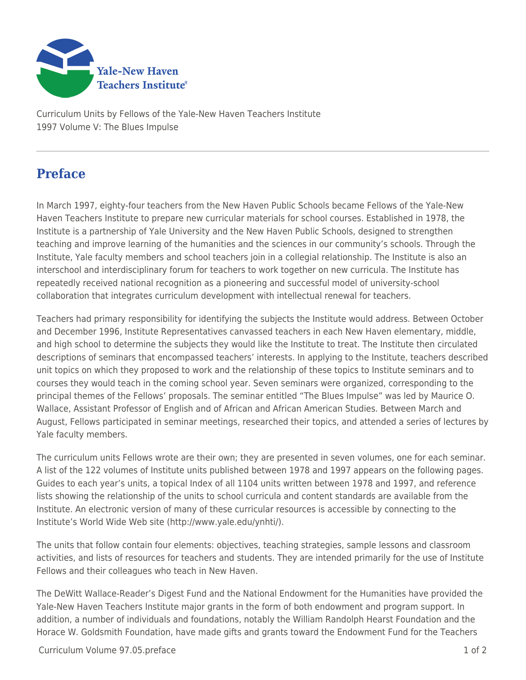

Curriculum Units by Fellows of the Yale-New Haven Teachers Institute 1997 Volume V: The Blues Impulse

## **Preface**

In March 1997, eighty-four teachers from the New Haven Public Schools became Fellows of the Yale-New Haven Teachers Institute to prepare new curricular materials for school courses. Established in 1978, the Institute is a partnership of Yale University and the New Haven Public Schools, designed to strengthen teaching and improve learning of the humanities and the sciences in our community's schools. Through the Institute, Yale faculty members and school teachers join in a collegial relationship. The Institute is also an interschool and interdisciplinary forum for teachers to work together on new curricula. The Institute has repeatedly received national recognition as a pioneering and successful model of university-school collaboration that integrates curriculum development with intellectual renewal for teachers.

Teachers had primary responsibility for identifying the subjects the Institute would address. Between October and December 1996, Institute Representatives canvassed teachers in each New Haven elementary, middle, and high school to determine the subjects they would like the Institute to treat. The Institute then circulated descriptions of seminars that encompassed teachers' interests. In applying to the Institute, teachers described unit topics on which they proposed to work and the relationship of these topics to Institute seminars and to courses they would teach in the coming school year. Seven seminars were organized, corresponding to the principal themes of the Fellows' proposals. The seminar entitled "The Blues Impulse" was led by Maurice O. Wallace, Assistant Professor of English and of African and African American Studies. Between March and August, Fellows participated in seminar meetings, researched their topics, and attended a series of lectures by Yale faculty members.

The curriculum units Fellows wrote are their own; they are presented in seven volumes, one for each seminar. A list of the 122 volumes of Institute units published between 1978 and 1997 appears on the following pages. Guides to each year's units, a topical Index of all 1104 units written between 1978 and 1997, and reference lists showing the relationship of the units to school curricula and content standards are available from the Institute. An electronic version of many of these curricular resources is accessible by connecting to the Institute's World Wide Web site (http://www.yale.edu/ynhti/).

The units that follow contain four elements: objectives, teaching strategies, sample lessons and classroom activities, and lists of resources for teachers and students. They are intended primarily for the use of Institute Fellows and their colleagues who teach in New Haven.

The DeWitt Wallace-Reader's Digest Fund and the National Endowment for the Humanities have provided the Yale-New Haven Teachers Institute major grants in the form of both endowment and program support. In addition, a number of individuals and foundations, notably the William Randolph Hearst Foundation and the Horace W. Goldsmith Foundation, have made gifts and grants toward the Endowment Fund for the Teachers